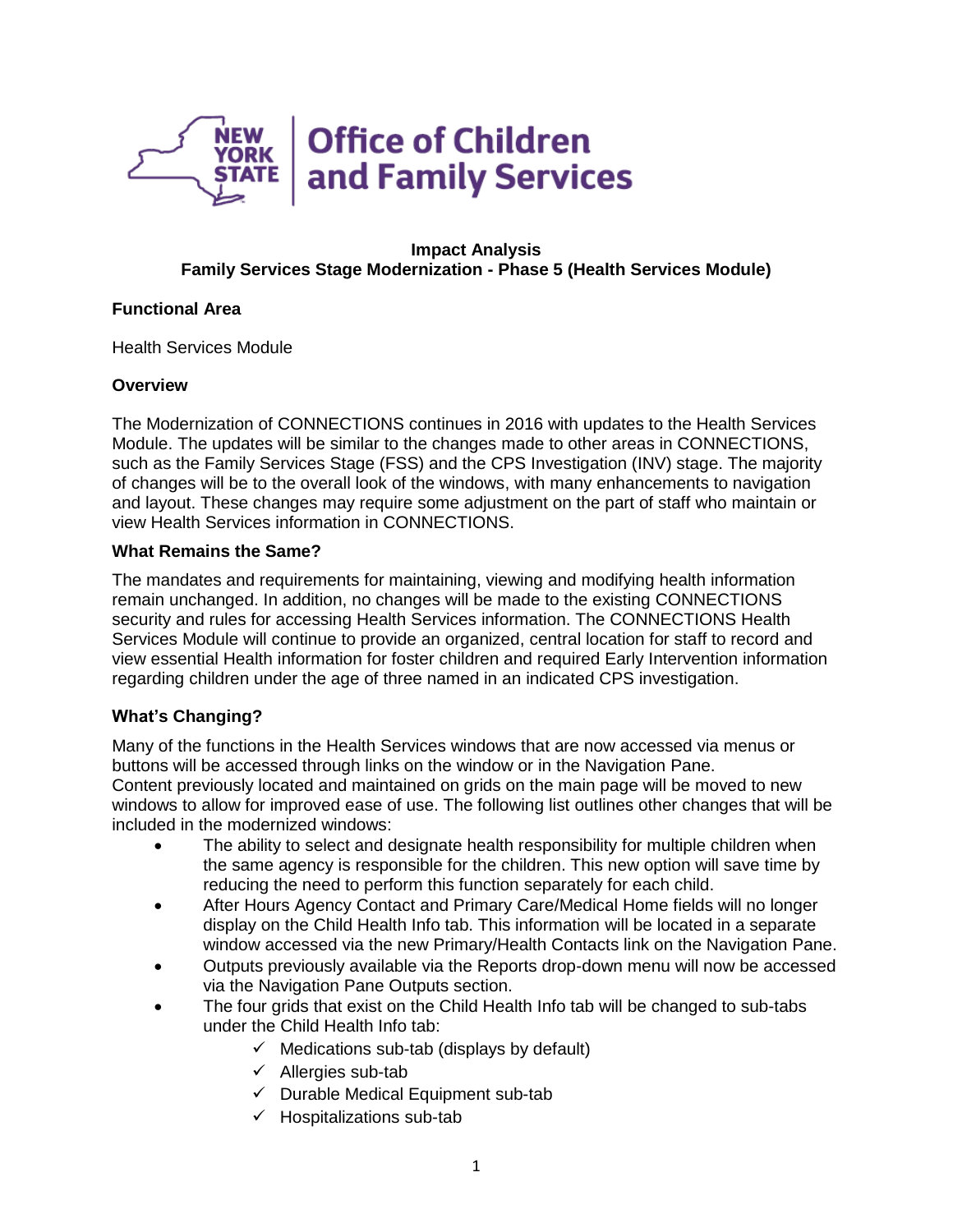

#### **Impact Analysis Family Services Stage Modernization - Phase 5 (Health Services Module)**

### **Functional Area**

Health Services Module

# **Overview**

The Modernization of CONNECTIONS continues in 2016 with updates to the Health Services Module. The updates will be similar to the changes made to other areas in CONNECTIONS, such as the Family Services Stage (FSS) and the CPS Investigation (INV) stage. The majority of changes will be to the overall look of the windows, with many enhancements to navigation and layout. These changes may require some adjustment on the part of staff who maintain or view Health Services information in CONNECTIONS.

### **What Remains the Same?**

The mandates and requirements for maintaining, viewing and modifying health information remain unchanged. In addition, no changes will be made to the existing CONNECTIONS security and rules for accessing Health Services information. The CONNECTIONS Health Services Module will continue to provide an organized, central location for staff to record and view essential Health information for foster children and required Early Intervention information regarding children under the age of three named in an indicated CPS investigation.

# **What's Changing?**

Many of the functions in the Health Services windows that are now accessed via menus or buttons will be accessed through links on the window or in the Navigation Pane. Content previously located and maintained on grids on the main page will be moved to new windows to allow for improved ease of use. The following list outlines other changes that will be included in the modernized windows:

- The ability to select and designate health responsibility for multiple children when the same agency is responsible for the children. This new option will save time by reducing the need to perform this function separately for each child.
- After Hours Agency Contact and Primary Care/Medical Home fields will no longer display on the Child Health Info tab. This information will be located in a separate window accessed via the new Primary/Health Contacts link on the Navigation Pane.
- Outputs previously available via the Reports drop-down menu will now be accessed via the Navigation Pane Outputs section.
- The four grids that exist on the Child Health Info tab will be changed to sub-tabs under the Child Health Info tab:
	- $\checkmark$  Medications sub-tab (displays by default)
	- $\checkmark$  Allergies sub-tab
	- $\checkmark$  Durable Medical Equipment sub-tab
	- $\checkmark$  Hospitalizations sub-tab